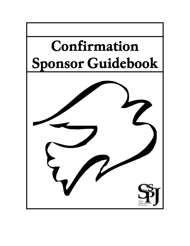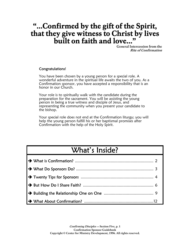## "…Confirmed by the gift of the Spirit, that they give witness to Christ by lives built on faith and love..."

General Intercession from the Rite of Confirmation

#### Congratulations!

You have been chosen by a young person for a special role. A wonderful adventure in the spiritual life awaits the two of you. As a Confirmation sponsor, you have accepted a responsibility that is an honor in our Church.

Your role is to spiritually walk with the candidate during the preparation for the sacrament. You will be assisting the young person in being a true witness and disciple of Jesus, and representing the community when you present your candidate to the bishop.

Your special role does not end at the Confirmation liturgy; you will help the young person fulfill his or her baptismal promises after Confirmation with the help of the Holy Spirit.

## What's Inside?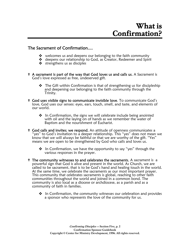#### The Sacrament of Confirmation....

- $\bullet\quad$  welcomes us and deepens our belonging to the faith community
- **deepens our relationship to God, as Creator, Redeemer and Spirit**
- **strengthens us as disciples**
- " A sacrament is part of the way that God loves us and calls us. A Sacrament is God's love expressed as free, undeserved gift.
	- **The Gift within Confirmation is that of strengthening us for discipleship** and deepening our belonging to the faith community through the Trinity.
- " God uses visible signs to communicate invisible love. To communicate God's love, God uses our senses: eyes, ears, touch, smell, and taste, and elements of our world.
	- In Confirmation, the signs we will celebrate include being anointed with oil and the laying on of hands as we remember the water of Baptism and the nourishment of Eucharist.
- **<sup>†</sup> God calls and invites; we respond.** An attitude of openness communicates a "yes" to God's invitation to a deeper relationship. This "yes" does not mean we know that we will always be faithful or that we are worthy of the gift. "Yes" means we are open to be strengthened by God who calls and loves us.
	- In Confirmation, we have the opportunity to say "yes" through the various responses in the prayer.
- **The community witnesses to and celebrates the sacraments.** A sacrament is a powerful sign that God is alive and present in the world. As Church, we are called to be sacrament, that is to be God's hand and healing touch in the world. At the same time, we celebrate the sacraments as our most important prayer. This community that celebrates sacraments is global, reaching to other faith communities throughout the world and joined in a common bond. The community is also local as a diocese or archdiocese, as a parish and as a community of faith in families.
	- In Confirmation, the community witnesses our celebration and provides a sponsor who represents the love of the community for us.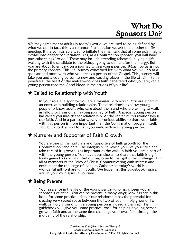## What Do Sponsors Do?

We may agree that as adults in today's world we are used to being defined by what we do. In fact, this is a common first question we ask one another on first meeting. It is a comfortable way to initiate the small talk that at some point might evolve into deeper conversation. Yes, as a Confirmation sponsor, you will have particular things "to do." These may include attending rehearsal, buying a gift, walking with the candidate to the bishop, going to dinner after the liturgy. But you are about to embark on a journey with a young person. *What you do* is not the primary concern. This is a journey concerned less with what you will do as a sponsor and more with who you are as a person of the Gospel. This journey will take you and a young person to new and exciting places in the life of faith. Faith penetrates the heart of the matter—how has faith penetrated who you are; can a young person read the Good News in the actions of your life?

## » Called to Relationship with Youth

In your role as a sponsor you are a minister with youth. You are a part of an exercise in building relationships. These relationships allow young people to know adults who care about them and who are willing to walk as fellow pilgrims on a life-long journey of faith. A special young person has called you into deeper relationship. At the center of this relationship is our faith. And in a particular way, your unique ability to share your faith with this person is more important than the Confirmation program itself. This guidebook strives to help you walk with your young person.

## » Nurturer and Supporter of Faith Growth

You are one of the nurturers and supporters of faith growth for the Confirmation candidate. The integrity with which you live your faith and take care of its growth is as important as the walk in faith you are a part of with the young person. You have been chosen to share that faith is a gift freely given by God, and that our response to that gift is the challenge of us all as members of the Body of Christ. Communicating with interest and excitement the challenge of living as Catholics in today's world is a wonderful gift to share with youth. We hope that this guidebook inspires you in your own spiritual journey.

## » Being Present

Your presence in the life of the young person who has chosen you as sponsor is essential. You can be present in many ways; look further in this book for some practical ideas. Your relationship has the potential for creating very sacred space between the two of you — holy ground. To walk on holy ground with a young person is indeed a blessing! This guidebook will give you some practical tools for helping a young person grow in faith and at the same time challenge your own faith through the mutuality of the relationship.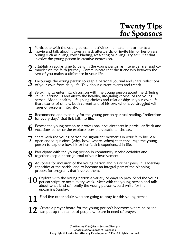# Twenty Tips for Sponsors

- Participate with the young person in activities, i.e., take him or her to a 1 Participate with the young person in activities, i.e., take him or her to a<br>1 movie and talk about it over a snack afterwards, or invite him or her on an outing such as biking, roller blading, iceskating or hiking. Try activities that involve the young person in creative expression.
- Establish a regular time to be with the young person as listener, sharer and co-2 Establish a regular time to be with the young person as listener, sharer and contained that the friendship between the two of you makes a difference in your life.
- Encourage the young person to keep a personal journal and share reflections  $\boldsymbol{3}$  Encourage the young person to keep a personal journal and share is of your own from daily life. Talk about current events and trends.
- Be willing to enter into discussion with the young person about the differing 4 Be willing to enter into discussion with the young person about the differ values around us and affirm the healthy, life-giving choices of the young person. Model healthy, life-giving choices and relationships in your own life. Share stories of others, both current and of history, who have struggled with issues of personal integrity.
- Recommend and even buy for the young person spiritual reading, "reflections  $\bf 5$  Recommend and even buy for the yout for every day," that link faith to life.
- Expose the young person to professional acquaintances in particular fields and  $\bf 6$  Expose the young person to professional acquaintances in party vocations as her or she explores possible vocational choices.
- Share with the young person the significant moments in your faith life. Ask open-ended questions (why, how, where, when) that encourage the young person to explore how his or her faith is experienced in life. 7
- Participate with the young person in community service activities and  $\bf{8}$  Participate with the young person in community serv together keep a photo journal of your involvement.
- Advocate for inclusion of the young person and his or her peers in leadership capacities at the parish, and to become an integral part of the planning capacities at the parish, and to become an integral part of the planning process for programs that involve them.
- $10$  Explore with the young person a variety of ways to pray. Send the young person scripture notes every week. Meet with the young person and talk person scripture notes every week. Meet with the young person and talk about what kind of homily the young person would write for the upcoming Sunday.
- Find five other adults who are going to pray for this young person. 11
- Create a prayer board for the young person's bedroom where he or she  $\bf 12$  Create a prayer board for the young person's bedroom whe can put up the names of people who are in need of prayer.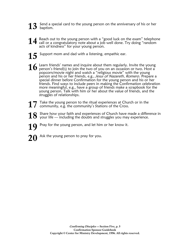- Send a special card to the young person on the anniversary of his or her  $13$  Send a sp baptism.
- Reach out to the young person with a "good luck on the exam" telephone 14 Reach out to the young person with a "good luck on the exam" telephor<br>14 call or a congratulatory note about a job well done. Try doing "random acts of kindness" for your young person.
- Support mom and dad with a listening, empathic ear. 15
- Learn friends' names and inquire about them regularly. Invite the young  $16$  Learn friends' names and inquire about them regularly. Invite the young<br>person's friend(s) to join the two of you on an occasion or two. Host a popcorn/movie night and watch a "religious movie" with the young person and his or her friends, e.g., *Jesus of Nazareth, Romero*. Prepare a special dinner before Confirmation for the young person and his or her friends. Find ways to include peers in making the Confirmation celebration more meaningful, e.g., have a group of friends make a scrapbook for the young person. Talk with him or her about the value of friends, and the struggles of relationships.
- Take the young person to the ritual experiences at Church or in the 17 Take the young person to the ritual experiences at Chur<br>
community, e.g. the community's Stations of the Cross.
- Share how your faith and experiences of Church have made a difference in  $18$  Share how your faith and experiences of Church have made a different your life — including the doubts and struggles you may experience.
- Pray for the young person, and let him or her know it. 19
- Ask the young person to pray for you. 20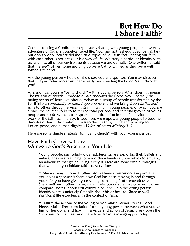## But How Do I Share Faith?

Central to being a Confirmation sponsor is sharing with young people the worthy adventure of living a gospel-centered life. You may not feel equipped for this task, but don't worry, neither did the first disciples of Jesus! In fact, sharing our faith with each other is not a task, it is a way of life. We carry a particular identity with us, and into all of our environments because we are Catholic. One writer has said that the walls of her home growing up were Catholic, filled as they were with symbols of belief.

Ask the young person why he or she chose you as a sponsor. You may discover that this particular adolescent has already been reading the Good News through you!

As a sponsor, you are "being church" with a young person. What does this mean? The mission of church is three-fold. We *proclaim* the Good News, namely the saving action of Jesus, we offer ourselves as a group of people transformed by the Spirit into a *community of faith, hope and love*, and we bring God's justice and love to others through service. In its ministry with young people, of which you are a part, the church works to foster the total personal and spiritual growth of young people and to draw them to responsible participation in the life, mission and work of the faith community. In addition, we empower young people to become disciples of Jesus Christ who witness to their faith by living and working for justice, peace, and human dignity. (*Vision of Youth Ministry* 3, 7)

Here are some simple strategies for "being church" with your young person.

#### Have Faith Conversations: Witness to God's Presence in Your Life

Young people, particularly older adolescents, are exploring their beliefs and values. They are searching for a worthy adventure upon which to embark; an adventure that gospel living surely is. Here are some simple strategies that will help you initiate faith conversations:

**f** Share stories with each other. Stories have a tremendous impact. If all you do as a sponsor is share how God has been moving in and through your life, you have given your young person a gift of tremendous value. Share with each other the significant religious celebrations of your lives compare "notes" about first communion, etc. Help the young person identify what is uniquely Catholic about his or her life. Share as well significant life experiences in the context of faith.

#### **<sup>†</sup>** Affirm the actions of the young person which witness to the Good

News. Make direct correlation for the young person between what you see him or her doing and how it is a value and action of Jesus. Break open the Scriptures for the week and share how Jesus' teachings apply today.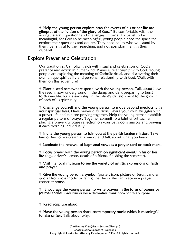**<sup>†</sup>** Help the young person explore how the events of his or her life are glimpses of the "vision of the glory of God." Be comfortable with the young person's questions and challenges. In order for belief to be meaningful, for God to be meaningful, young people need the space the explore their questions and doubts. They need adults who will stand by them, be faithful to their searching, and not abandon them in their disbelief.

#### Explore Prayer and Celebration

Our tradition as Catholics is rich with ritual and celebration of God's presence and action in humankind. Prayer is relationship with God. Young people are exploring the meaning of Catholic ritual, and discovering their own unique spirituality and personal relationship with God. Walk with them on this adventure!

<sup>†</sup> Plant a seed somewhere special with the young person. Talk about how the seed is now underground in the damp and dark preparing to burst forth new life. Relate each step in the plant's development to the growth of each of us spiritually.

<sup>†</sup> Challenge yourself and the young person to move beyond mediocrity in your spiritual lives. Have prayer discussions. Share your own struggles with a prayer life and explore praying together. Help the young person establish a regular pattern of prayer. Together commit to a joint effort such as placing a prayer/scripture reflection on your bathroom mirrors and praying it each morning individually.

" Invite the young person to join you at the parish Lenten mission. Take him or her for ice-cream afterwards and talk about what you heard.

" Laminate the renewal of baptismal vows as a prayer card or book mark.

" Focus prayer with the young person on significant events in his or her life (e.g., driver's license, death of a friend, finishing the semester).

" Visit the local museum to see the variety of artistic expressions of faith and prayer.

**"** Give the young person a symbol (poster, icon, picture of Jesus, candles, quotes from role model or saints) that he or she can place in a prayer corner at home.

" Encourage the young person to write prayers in the form of poems or journal entries. Give him or her a decorative blank book for this purpose.

" Read Scripture aloud.

**H** Have the young person share contemporary music which is meaningful to him or her. Talk about why.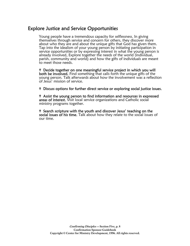### Explore Justice and Service Opportunities

Young people have a tremendous capacity for selflessness. In giving themselves through service and concern for others, they discover more about who they are and about the unique gifts that God has given them. Tap into the idealism of your young person by initiating participation in service opportunities or by expressing interest in what the young person is already involved. Explore together the needs of the world (individual, parish, community and world) and how the gifts of individuals are meant to meet those needs.

" Decide together on one meaningful service project in which you will both be involved. Find something that calls forth the unique gifts of the young person. Talk afterwards about how the involvement was a reflection of Jesus' mission of service.

<sup>†</sup> Discuss options for further direct service or exploring social justice issues.

" Assist the young person to find information and resources in expressed areas of interest. Visit local service organizations and Catholic social ministry programs together.

<sup>†</sup> Search scripture with the youth and discover Jesus' teaching on the social issues of his time. Talk about how they relate to the social issues of our time.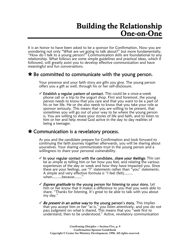# Building the Relationship One-on-One

It is an honor to have been asked to be a sponsor for Confirmation. Now you are wondering not only "What are we going to talk about?" but more fundamentally, "How do I talk to a young person?" Communication skills are foundational to any relationship. What follows are some simple guidelines and practical ideas, which if followed, will greatly assist you to develop effective communication and have meaningful and fun conversations.

### » Be committed to communicate with the young person.

Your presence and your faith story are gifts you give. The young person offers you a gift as well, through his or her self-disclosure.

 $\checkmark$  Establish a regular pattern of contact. This could be a once-a-week phone call or a trip to the yogurt shop. First and foremost, the young person needs to know that you care and that you want to be a part of his or her life. He or she also needs to know that you take your role as sponsor seriously. This means that you are willing to be present, that sometimes you will go out of your way to be where the young person is. You are willing to share your stories of life and faith, and to listen to him or her and help reveal God active in the day to day realities of being a teenager.

### » Communication is a revelatory process.

As you and the candidate prepare for Confirmation and look forward to continuing the faith journey together afterwards, you will be sharing about yourselves. Your sharing communicates trust in the young person and a willingness to share your personal vulnerability.

- $\checkmark$  In your regular contact with the candidate, share your feelings. This can be as simple as telling him or her how you feel, and relating the various experiences of the day or week and how they have impacted you. Since these are your feelings, use "I" statements rather than "you" statements. A simple and very effective formula is "I feel (felt)........ when.........because......."
- $\sqrt{2}$  Express gratitude to the young person for listening to your story. Let him or her know that it makes a difference to you that you were able to share. "Thanks for listening. It's great to be able to talk with you about my day."
- $\checkmark$  Be present in an active way to the young person's story. This implies that you accept him or her "as is," you listen attentively, and you do not pass judgment on what is shared. This means that you "seek first to understand, then to be understood." Active, revelatory communication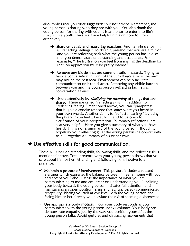also implies that you offer suggestions but not advice. Remember, the young person is sharing who they are with you. You also thank the young person for sharing with you. It is an honor to enter into life's story with a youth. Here are some helpful hints on how to listen attentively:

- $\rightarrow$  Share empathic and reassuring reactions. Another phrase for this is "reflecting feelings." To do this, pretend that you are a mirror and you are reflecting back what the young person has said so that you demonstrate understanding and acceptance. For example, "The frustration you feel from missing the deadline for that job application must be pretty intense."
- $\rightarrow$  Remove any blocks that are communication hazards. Trying to have a conversation in front of the busiest escalator at the mall may not be the best idea. Environment can help facilitate communication or it can distract. Removing any visible barriers between you and the young person will aid in facilitating conversation as well.
- $\rightarrow$  Listen attentively by *clarifying the meaning* of things that are shared. These are called "reflecting skills." In addition to "reflecting feelings" mentioned above, you can "paraphrase," that is, give a concise response that states what you heard in your own words. Another skill is to "reflect meanings" by using the phrase, "You feel... because..." and to be open to clarification of your interpretation. "Summary reflections" are also very helpful. Here you give a summary of what you have heard. This is not a summary of the young person's thoughts; hopefully your reflecting gives the young person the opportunity to pull together a summary of his or her own.

### » Use effective skills for good communication.

These skills include attending skills, following skills, and the reflecting skills mentioned above. Total presence with your young person shows that you care about him or her. Attending and following skills involve total presence.

- $\checkmark$  Maintain a posture of involvement. This posture includes a relaxed alertness which expresses the balance between "I feel at home with you and accept you" and "I sense the importance of what you are communicating to me and am intent on understanding you." Inclining your body towards the young person indicates full attention, and maintaining an open position (arms and legs uncrossed) communicates receptivity. Placing yourself at eye level with the young person and facing him or her directly will alleviate the risk of seeming disinterested.
- $\checkmark$  Use appropriate body motion. How your body responds as you communicate with the young person speaks volumes. Your body can demonstrate empathy just by the way you position yourself as the young person talks. Avoid gestures and distracting movements that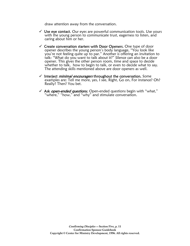draw attention away from the conversation.

- $\checkmark$  Use eye contact. Our eyes are powerful communication tools. Use yours with the young person to communicate trust, eagerness to listen, and caring about him or her.
- $\checkmark$  Create conversation starters with Door Openers. One type of door opener describes the young person's body language, "You look like you're not feeling quite up to par." Another is offering an invitation to talk: "What do you want to talk about it?" Silence can also be a door opener. This gives the other person room, time and space to decide whether to talk, how to begin to talk, or even to decide what to say. The attending skills mentioned above are door openers as well.
- $\checkmark$  Interject *minimal encouragers* throughout the conversation. Some examples are: Tell me more, yes, I see, Right, Go on, For instance? Oh? Really? Then? You bet.
- $\checkmark$  Ask *open-ended questions*. Open-ended questions begin with "what," 'where," "how," and "why" and stimulate conversation.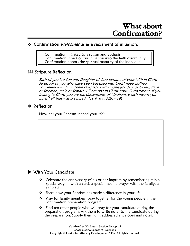#### **+** Confirmation *welcomes* us as a sacrament of initiation.

Confirmation is linked to Baptism and Eucharist. Confirmation is part of our initiation into the faith community. Confirmation honors the spiritual maturity of the individual.

#### **E Scripture Reflection**

Each of you is a Son and Daughter of God because of your faith in Christ Jesus. All of you who have been baptized into Christ have clothed yourselves with him. There does not exist among you Jew or Greek, slave or freeman, male or female. All are one in Christ Jesus. Furthermore, if you belong to Christ you are the descendants of Abraham, which means you inherit all that was promised. (Galatians, 3:26 - 29)

#### $*$  Reflection

How has your Baptism shaped your life?



- Celebrate the anniversary of his or her Baptism by remembering it in a special way — with a card, a special meal, a prayer with the family, a simple gift.
- ❖ Share how your Baptism has made a difference in your life.
- $\cdot \cdot$  Pray for family members, pray together for the young people in the Confirmation preparation program.
- $\cdot \cdot$  Find ten other people who will pray for your candidate during the preparation program. Ask them to write notes to the candidate during the preparation. Supply them with addressed envelopes and notes.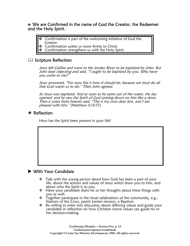#### We are Confirmed in the name of God the Creator, the Redeemer and the Holy Spirit.

- Confirmation is part of the welcoming initiative of God the Creator.
- **Confirmation unites us more firmly to Christ.**
- $\triangle$  Confirmation strengthens us with the Holy Spirit.

#### **E.** Scripture Reflection

Jesus left Galilee and went to the Jordan River to be baptized by John. But John kept objecting and said, "I ought to be baptized by you. Why have you come to me?"

Jesus answered, "For now this is how it should be, because we must do all that God wants us to do." Then John agreed.

So Jesus was baptized. And as soon as he came out of the water, the sky opened, and he saw the Spirit of God coming down on him like a dove. Then a voice from heaven said, "This is my own dear Son, and I am pleased with him." (Matthew 3:13-17)

#### $*$  Reflection

How has the Spirit been present in your life?

#### $\blacktriangleright$  With Your Candidate

- $\cdot \cdot$  Talk with the young person about how God has been a part of your life, about the actions and values of Jesus which draw you to him, and about who the Spirit is to you.
- $\cdot \cdot$  Have your candidate share his or her thoughts about these things with you as well.
- $\cdot \cdot$  Together participate in the ritual celebrations of the community, e.g., Stations of the Cross, parish Lenten mission, a Baptism.
- $\cdot \cdot$  Be willing to enter into discussion about differing values and guide your candidate in reflection on how Christian moral values can guide his or her decision-making.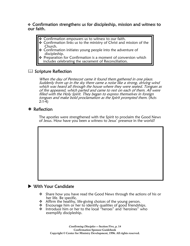#### Confirmation strengthens us for discipleship, mission and witness to our faith.

- Confirmation empowers us to witness to our faith.
- **•** Confirmation links us to the ministry of Christ and mission of the Church.
- Confirmation initiates young people into the adventure of discipleship.
- **Preparation for Confirmation is a moment of conversion which** includes celebrating the sacrament of Reconciliation.

#### $\mathbb{H}$  Scripture Reflection

When the day of Pentecost came it found them gathered in one place. Suddenly from up in the sky there came a noise like a strong, driving wind which was heard all through the house where they were seated. Tongues as of fire appeared, which parted and came to rest on each of them. All were filled with the Holy Spirit. They began to express themselves in foreign tongues and make bold proclamation as the Spirit prompted them. (Acts 2:1-4)

#### $*$  Reflection

The apostles were strengthened with the Spirit to proclaim the Good News of Jesus. How have you been a witness to Jesus' presence in the world?

#### $\blacktriangleright$  With Your Candidate

- $\cdot \cdot$  Share how you have read the Good News through the actions of his or her life. Be specific.
- $\triangleleft$  Affirm the healthy, life-giving choices of the young person.
- $\cdot \cdot$  Encourage him or her to identify qualities of good friendships.
- $\cdot \cdot$  Introduce him or her to the local "heroes" and 'heroines" who exemplify discipleship.